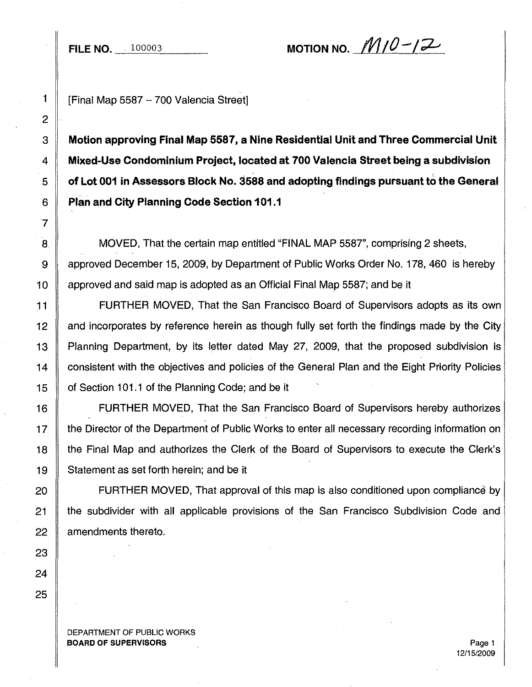**FILE NO.** 100003

MOTION NO.  $M10-12$ 

1 | [Final Map 5587 - 700 Valencia Street]

 **Motion approving Final Map 5587, a Nine Residential Unit and Three Commercial Unit Mixed-Use Condominium Project, located at 700 Valencia Street being a subdivision of Lot 001 in Assessors Block No. 3588 and adopting findings pursuantto the General Plan and City Planning Code Section 101.1**

8 MOVED, That the certain map entitled "FINAL MAP 5587", comprising 2 sheets, 9 approved December 15, 2009, by Department of Public Works Order No. 178, 460 is hereby 10 **approved and said map is adopted as an Official Final Map 5587; and be it** 

11 FURTHER MOVED, That the San Francisco Board of Supervisors adopts as its own 12 and incorporates by reference herein as though fully set forth the findings made by the City 13 Planning Department, by its letter dated May 27, 2009, that the proposed subdivision is 14 consistent with the objectives and policies of the General Plan and the Eight Priority Policies 15 **o** of Section 101.1 of the Planning Code; and be it

16 FlJRTHER MOVED, That the San Francisco Board of Supervisors hereby authorizes 17 the Director of the Department of Public Works to enter all necessary recording information on 18 the Final Map and authorizes the Clerk of the Board of Supervisors to execute the Clerk's 19 Statement as set forth herein; and be it

20 | FURTHER MOVED, That approval of this map is also conditioned upon compliance by 21 the subdivider with all applicable provisions of the San Francisco Subdivision Code and 22 amendments thereto.

DEPARTMENT OF PUBLIC WORKS BOARD OF SUPERVISORS **Page 1**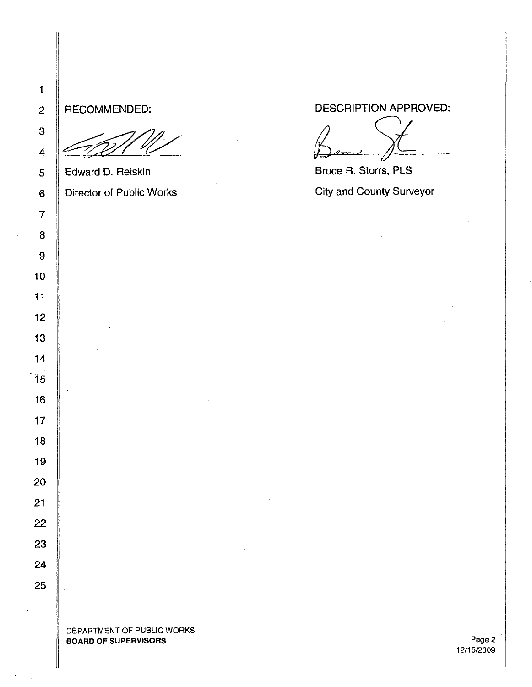## RECOMMENDED:

Edward D. Reiskin Director of Public Works DESCRIPTION APPROVED:

 $\beta$ ame  $\gamma$ 

Bruce R. Storrs, PLS City and County Surveyor

Page 2 12/15/2009